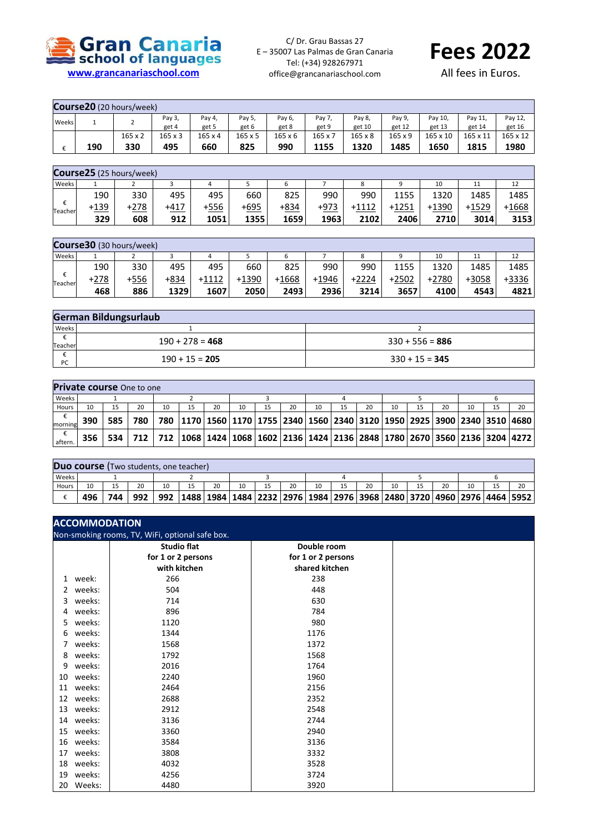

C/ Dr. Grau Bassas 27 E – 35007 Las Palmas de Gran Canaria Tel: (+34) 928267971 office@grancanariaschool.com



All fees in Euros.

|       | Course20 (20 hours/week) |                |                |                |         |                |                |         |                |                 |          |                 |  |
|-------|--------------------------|----------------|----------------|----------------|---------|----------------|----------------|---------|----------------|-----------------|----------|-----------------|--|
| Weeks |                          | ∸              | Pay 3,         | Pay 4,         | Pay 5,  | Pay 6,         | Pay 7,         | Pay 8,  | Pay 9          | Pay 10          | Pay 11,  | Pay 12,         |  |
|       |                          |                | get 4          | get 5          | get 6   | get 8          | get 9          | get 10  | get 12         | get 13          | get 14   | get 16          |  |
|       |                          | $165 \times 2$ | $165 \times 3$ | $165 \times 4$ | 165 x 5 | $165 \times 6$ | $165 \times 7$ | 165 x 8 | $165 \times 9$ | $165 \times 10$ | 165 x 11 | $165 \times 12$ |  |
|       | 190                      | 330            | 495            | 660            | 825     | 990            | 1155           | 1320    | 1485           | 1650            | 1815     | 1980            |  |

|              | Course25 (25 hours/week) |      |        |      |      |      |        |       |         |       |         |       |  |
|--------------|--------------------------|------|--------|------|------|------|--------|-------|---------|-------|---------|-------|--|
| Weeks        |                          |      |        | 4    |      | ь    |        |       |         | 10    | 11      | 12    |  |
|              | 190                      | 330  | 495    | 495  | 660  | 825  | 990    | 990   | 1155    | 1320  | 1485    | 1485  |  |
| €<br>Teacher | +139                     | +278 | $+417$ | ⊦556 | +695 | +834 | $+973$ | +1112 | $+1251$ | +1390 | $+1529$ | +1668 |  |
|              | 329                      | 608  | 912    | 1051 | 1355 | 1659 | 1963   | 2102  | 2406    | 2710  | 3014    | 3153  |  |

|              | Course30 (30 hours/week) |              |      |       |       |         |         |       |         |         |       |       |  |
|--------------|--------------------------|--------------|------|-------|-------|---------|---------|-------|---------|---------|-------|-------|--|
| Weeks        |                          |              |      | 4     |       |         |         | 8     |         | 10      | 11    |       |  |
| €<br>Teacher | 190                      | 330          | 495  | 495   | 660   | 825     | 990     | 990   | 1155    | 1320    | 1485  | 1485  |  |
|              | $+278$                   | + <u>556</u> | +834 | +1112 | +1390 | $+1668$ | $+1946$ | +2224 | $+2502$ | $+2780$ | +3058 | +3336 |  |
|              | 468                      | 886          | 1329 | 1607  | 2050  | 2493    | 2936    | 3214  | 3657    | 4100    | 4543  | 4821  |  |

|         | <b>German Bildungsurlaub</b> |                   |  |  |  |  |  |  |  |  |
|---------|------------------------------|-------------------|--|--|--|--|--|--|--|--|
| Weeks   |                              |                   |  |  |  |  |  |  |  |  |
| Teacher | $190 + 278 = 468$            | $330 + 556 = 886$ |  |  |  |  |  |  |  |  |
| PC      | $190 + 15 = 205$             | $330 + 15 = 345$  |  |  |  |  |  |  |  |  |

|         | <b>Private course</b> One to one |       |     |    |  |    |    |    |    |    |  |    |  |    |    |                                                                                                             |
|---------|----------------------------------|-------|-----|----|--|----|----|----|----|----|--|----|--|----|----|-------------------------------------------------------------------------------------------------------------|
| Weeks   |                                  |       |     |    |  |    |    |    |    |    |  |    |  |    |    |                                                                                                             |
| Hours   | 10                               |       | 20  | 10 |  | 20 | 10 | 15 | 20 | 10 |  | 20 |  | 20 | 15 | 20                                                                                                          |
| morning | 390                              | 585   | 780 |    |  |    |    |    |    |    |  |    |  |    |    | 780   1170   1560   1170   1755   2340   1560   2340   3120   1950   2925   3900   2340   3510   4680       |
| aftern. | 356                              | 534 l |     |    |  |    |    |    |    |    |  |    |  |    |    | 712   712   1068   1424   1068   1602   2136   1424   2136   2848   1780   2670   3560   2136   3204   4272 |

|       | <b>Duo course</b> (Two students, one teacher) |     |     |     |                                                                                                 |    |    |  |    |    |  |    |  |    |  |    |
|-------|-----------------------------------------------|-----|-----|-----|-------------------------------------------------------------------------------------------------|----|----|--|----|----|--|----|--|----|--|----|
| Weeks |                                               |     |     |     |                                                                                                 |    |    |  |    |    |  |    |  |    |  |    |
| Hours | 10                                            |     | 20  | 10  |                                                                                                 | 20 | 10 |  | 20 | 10 |  | 20 |  | 20 |  | 20 |
|       | 496                                           | 744 | 992 | 992 | 1488   1984   1484   2232   2976   1984   2976   3968   2480   3720   4960   2976   4464   5952 |    |    |  |    |    |  |    |  |    |  |    |

| <b>ACCOMMODATION</b><br>Non-smoking rooms, TV, WiFi, optional safe box. |        |                    |                    |  |  |  |  |  |
|-------------------------------------------------------------------------|--------|--------------------|--------------------|--|--|--|--|--|
|                                                                         |        | <b>Studio flat</b> | Double room        |  |  |  |  |  |
|                                                                         |        | for 1 or 2 persons | for 1 or 2 persons |  |  |  |  |  |
|                                                                         |        | with kitchen       | shared kitchen     |  |  |  |  |  |
| 1                                                                       | week:  | 266                | 238                |  |  |  |  |  |
| 2                                                                       | weeks: | 504                | 448                |  |  |  |  |  |
| 3                                                                       | weeks: | 714                | 630                |  |  |  |  |  |
| 4                                                                       | weeks: | 896                | 784                |  |  |  |  |  |
| 5                                                                       | weeks: | 1120               | 980                |  |  |  |  |  |
| 6                                                                       | weeks: | 1344               | 1176               |  |  |  |  |  |
| 7                                                                       | weeks: | 1568               | 1372               |  |  |  |  |  |
| 8                                                                       | weeks: | 1792               | 1568               |  |  |  |  |  |
| 9                                                                       | weeks: | 2016               | 1764               |  |  |  |  |  |
| 10                                                                      | weeks: | 2240               | 1960               |  |  |  |  |  |
| 11                                                                      | weeks: | 2464               | 2156               |  |  |  |  |  |
| 12                                                                      | weeks: | 2688               | 2352               |  |  |  |  |  |
| 13                                                                      | weeks: | 2912               | 2548               |  |  |  |  |  |
| 14                                                                      | weeks: | 3136               | 2744               |  |  |  |  |  |
| 15                                                                      | weeks: | 3360               | 2940               |  |  |  |  |  |
| 16                                                                      | weeks: | 3584               | 3136               |  |  |  |  |  |
| 17                                                                      | weeks: | 3808               | 3332               |  |  |  |  |  |
| 18                                                                      | weeks: | 4032               | 3528               |  |  |  |  |  |
| 19                                                                      | weeks: | 4256               | 3724               |  |  |  |  |  |
| 20                                                                      | Weeks: | 4480               | 3920               |  |  |  |  |  |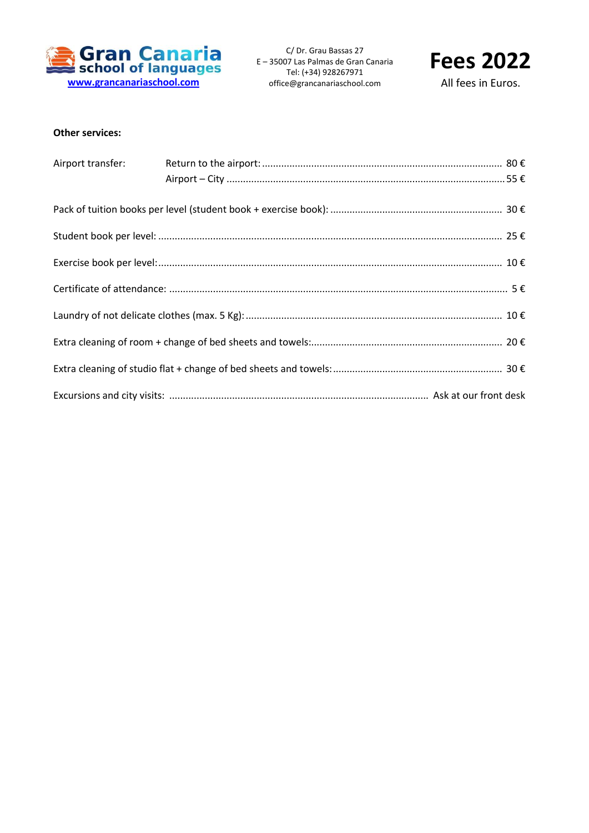

C/ Dr. Grau Bassas 27 E – 35007 Las Palmas de Gran Canaria Tel: (+34) 928267971 office@grancanariaschool.com



All fees in Euros.

## **Other services:**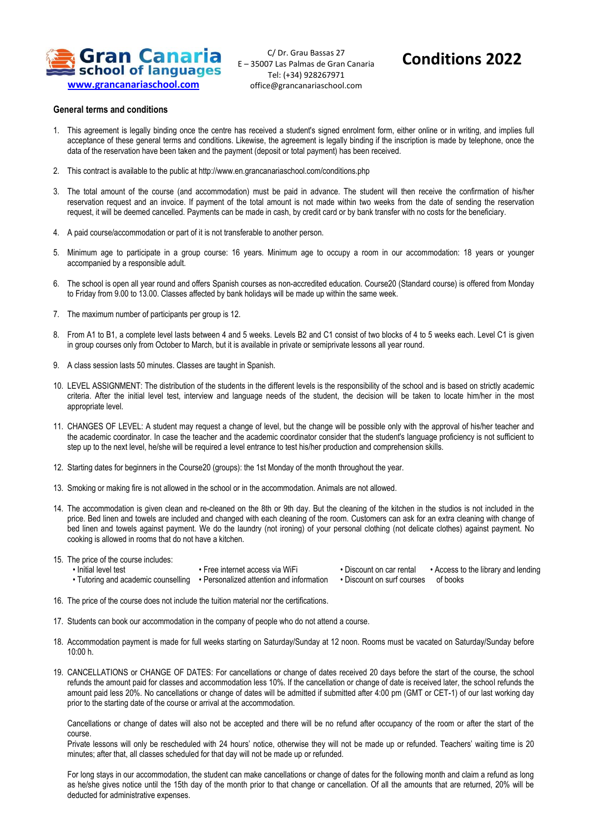

C/ Dr. Grau Bassas 27 E – 35007 Las Palmas de Gran Canaria Tel: (+34) 928267971 office@grancanariaschool.com

## **Conditions 2022**

## **General terms and conditions**

- 1. This agreement is legally binding once the centre has received a student's signed enrolment form, either online or in writing, and implies full acceptance of these general terms and conditions. Likewise, the agreement is legally binding if the inscription is made by telephone, once the data of the reservation have been taken and the payment (deposit or total payment) has been received.
- 2. This contract is available to the public at http://www.en.grancanariaschool.com/conditions.php
- 3. The total amount of the course (and accommodation) must be paid in advance. The student will then receive the confirmation of his/her reservation request and an invoice. If payment of the total amount is not made within two weeks from the date of sending the reservation request, it will be deemed cancelled. Payments can be made in cash, by credit card or by bank transfer with no costs for the beneficiary.
- 4. A paid course/accommodation or part of it is not transferable to another person.
- 5. Minimum age to participate in a group course: 16 years. Minimum age to occupy a room in our accommodation: 18 years or younger accompanied by a responsible adult.
- 6. The school is open all year round and offers Spanish courses as non-accredited education. Course20 (Standard course) is offered from Monday to Friday from 9.00 to 13.00. Classes affected by bank holidays will be made up within the same week.
- 7. The maximum number of participants per group is 12.
- 8. From A1 to B1, a complete level lasts between 4 and 5 weeks. Levels B2 and C1 consist of two blocks of 4 to 5 weeks each. Level C1 is given in group courses only from October to March, but it is available in private or semiprivate lessons all year round.
- 9. A class session lasts 50 minutes. Classes are taught in Spanish.
- 10. LEVEL ASSIGNMENT: The distribution of the students in the different levels is the responsibility of the school and is based on strictly academic criteria. After the initial level test, interview and language needs of the student, the decision will be taken to locate him/her in the most appropriate level.
- 11. CHANGES OF LEVEL: A student may request a change of level, but the change will be possible only with the approval of his/her teacher and the academic coordinator. In case the teacher and the academic coordinator consider that the student's language proficiency is not sufficient to step up to the next level, he/she will be required a level entrance to test his/her production and comprehension skills.
- 12. Starting dates for beginners in the Course20 (groups): the 1st Monday of the month throughout the year.
- 13. Smoking or making fire is not allowed in the school or in the accommodation. Animals are not allowed.
- 14. The accommodation is given clean and re-cleaned on the 8th or 9th day. But the cleaning of the kitchen in the studios is not included in the price. Bed linen and towels are included and changed with each cleaning of the room. Customers can ask for an extra cleaning with change of bed linen and towels against payment. We do the laundry (not ironing) of your personal clothing (not delicate clothes) against payment. No cooking is allowed in rooms that do not have a kitchen.
- 15. The price of the course includes:
	- Initial level test • Free internet access via WiFi • Discount on car rental
	- Tutoring and academic counselling Personalized attention and information
- - Discount on surf courses of books

• Access to the library and lending

- 16. The price of the course does not include the tuition material nor the certifications.
- 17. Students can book our accommodation in the company of people who do not attend a course.
- 18. Accommodation payment is made for full weeks starting on Saturday/Sunday at 12 noon. Rooms must be vacated on Saturday/Sunday before 10:00 h.
- 19. CANCELLATIONS or CHANGE OF DATES: For cancellations or change of dates received 20 days before the start of the course, the school refunds the amount paid for classes and accommodation less 10%. If the cancellation or change of date is received later, the school refunds the amount paid less 20%. No cancellations or change of dates will be admitted if submitted after 4:00 pm (GMT or CET-1) of our last working day prior to the starting date of the course or arrival at the accommodation.

Cancellations or change of dates will also not be accepted and there will be no refund after occupancy of the room or after the start of the course.

Private lessons will only be rescheduled with 24 hours' notice, otherwise they will not be made up or refunded. Teachers' waiting time is 20 minutes; after that, all classes scheduled for that day will not be made up or refunded.

For long stays in our accommodation, the student can make cancellations or change of dates for the following month and claim a refund as long as he/she gives notice until the 15th day of the month prior to that change or cancellation. Of all the amounts that are returned, 20% will be deducted for administrative expenses.